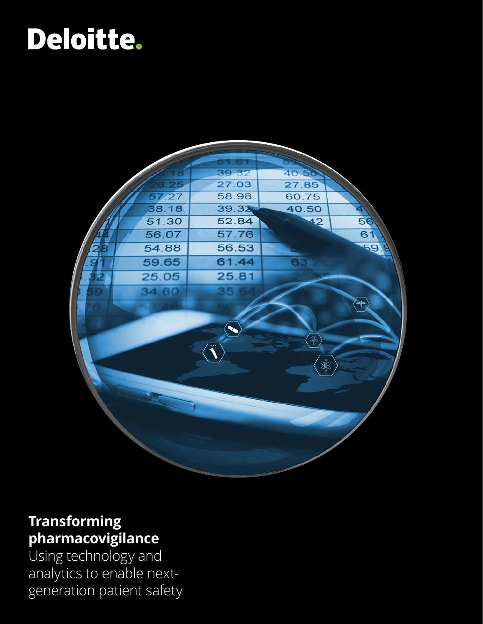# Deloitte.



### **Transforming pharmacovigilance**

Using technology and analytics to enable nextgeneration patient safety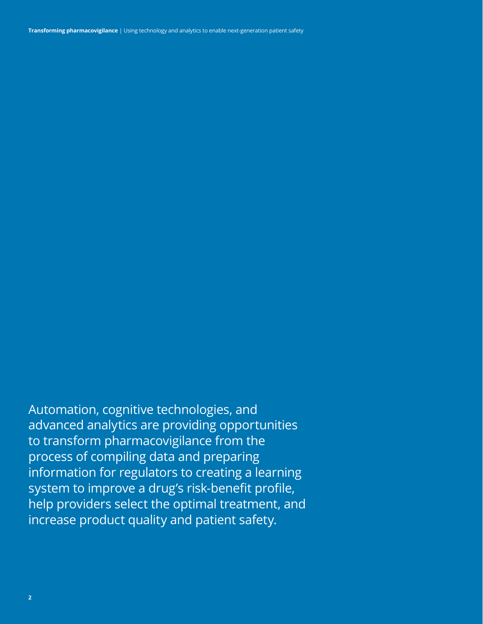**Transforming pharmacovigilance** | Using technology and analytics to enable next-generation patient safety

Automation, cognitive technologies, and advanced analytics are providing opportunities to transform pharmacovigilance from the process of compiling data and preparing information for regulators to creating a learning system to improve a drug's risk-benefit profile, help providers select the optimal treatment, and increase product quality and patient safety.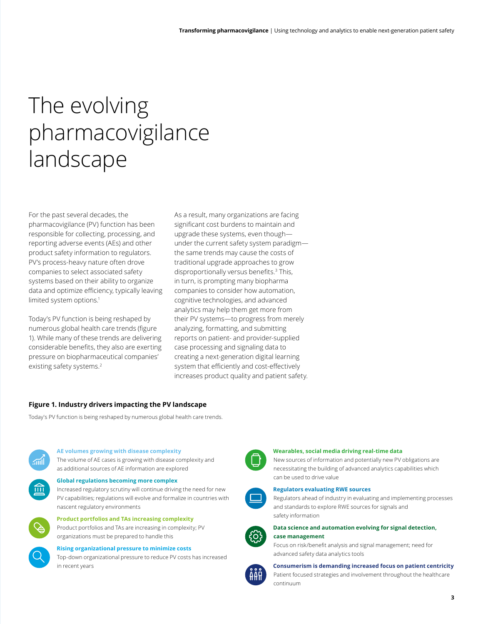### The evolving pharmacovigilance landscape

For the past several decades, the pharmacovigilance (PV) function has been responsible for collecting, processing, and reporting adverse events (AEs) and other product safety information to regulators. PV's process-heavy nature often drove companies to select associated safety systems based on their ability to organize data and optimize efficiency, typically leaving limited system options.<sup>1</sup>

Today's PV function is being reshaped by numerous global health care trends (figure 1). While many of these trends are delivering considerable benefits, they also are exerting pressure on biopharmaceutical companies' existing safety systems.<sup>2</sup>

As a result, many organizations are facing significant cost burdens to maintain and upgrade these systems, even though under the current safety system paradigm the same trends may cause the costs of traditional upgrade approaches to grow disproportionally versus benefits.<sup>3</sup> This, in turn, is prompting many biopharma companies to consider how automation, cognitive technologies, and advanced analytics may help them get more from their PV systems—to progress from merely analyzing, formatting, and submitting reports on patient- and provider-supplied case processing and signaling data to creating a next-generation digital learning system that efficiently and cost-effectively increases product quality and patient safety.

### **Figure 1. Industry drivers impacting the PV landscape**

Today's PV function is being reshaped by numerous global health care trends.

#### **AE volumes growing with disease complexity**

The volume of AE cases is growing with disease complexity and as additional sources of AE information are explored



**Global regulations becoming more complex** Increased regulatory scrutiny will continue driving the need for new PV capabilities; regulations will evolve and formalize in countries with nascent regulatory environments



**Product portfolios and TAs increasing complexity** Product portfolios and TAs are increasing in complexity; PV

organizations must be prepared to handle this

#### **Rising organizational pressure to minimize costs**

Top-down organizational pressure to reduce PV costs has increased in recent years



#### **Wearables, social media driving real-time data**

New sources of information and potentially new PV obligations are necessitating the building of advanced analytics capabilities which can be used to drive value

#### **Regulators evaluating RWE sources**

Regulators ahead of industry in evaluating and implementing processes and standards to explore RWE sources for signals and safety information



### **Data science and automation evolving for signal detection, case management**

Focus on risk/benefit analysis and signal management; need for advanced safety data analytics tools

#### **Consumerism is demanding increased focus on patient centricity**

Patient focused strategies and involvement throughout the healthcare continuum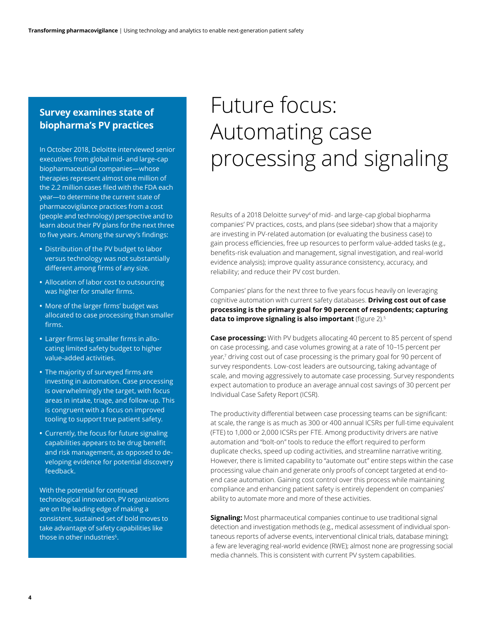### **Survey examines state of biopharma's PV practices**

In October 2018, Deloitte interviewed senior executives from global mid- and large-cap biopharmaceutical companies—whose therapies represent almost one million of the 2.2 million cases filed with the FDA each year—to determine the current state of pharmacovigilance practices from a cost (people and technology) perspective and to learn about their PV plans for the next three to five years. Among the survey's findings:

- **•** Distribution of the PV budget to labor versus technology was not substantially different among firms of any size.
- **•** Allocation of labor cost to outsourcing was higher for smaller firms.
- **•** More of the larger firms' budget was allocated to case processing than smaller firms.
- **•** Larger firms lag smaller firms in allocating limited safety budget to higher value-added activities.
- **•** The majority of surveyed firms are investing in automation. Case processing is overwhelmingly the target, with focus areas in intake, triage, and follow-up. This is congruent with a focus on improved tooling to support true patient safety.
- **•** Currently, the focus for future signaling capabilities appears to be drug benefit and risk management, as opposed to developing evidence for potential discovery feedback.

With the potential for continued technological innovation, PV organizations are on the leading edge of making a consistent, sustained set of bold moves to take advantage of safety capabilities like those in other industries<sup>6</sup>.

## Future focus: Automating case processing and signaling

Results of a 2018 Deloitte survey<sup>4</sup> of mid- and large-cap global biopharma companies' PV practices, costs, and plans (see sidebar) show that a majority are investing in PV-related automation (or evaluating the business case) to gain process efficiencies, free up resources to perform value-added tasks (e.g., benefits-risk evaluation and management, signal investigation, and real-world evidence analysis); improve quality assurance consistency, accuracy, and reliability; and reduce their PV cost burden.

Companies' plans for the next three to five years focus heavily on leveraging cognitive automation with current safety databases. **Driving cost out of case processing is the primary goal for 90 percent of respondents; capturing data to improve signaling is also important** (figure 2).<sup>5</sup>

**Case processing:** With PV budgets allocating 40 percent to 85 percent of spend on case processing, and case volumes growing at a rate of 10–15 percent per year,<sup>7</sup> driving cost out of case processing is the primary goal for 90 percent of survey respondents. Low-cost leaders are outsourcing, taking advantage of scale, and moving aggressively to automate case processing. Survey respondents expect automation to produce an average annual cost savings of 30 percent per Individual Case Safety Report (ICSR).

The productivity differential between case processing teams can be significant: at scale, the range is as much as 300 or 400 annual ICSRs per full-time equivalent (FTE) to 1,000 or 2,000 ICSRs per FTE. Among productivity drivers are native automation and "bolt-on" tools to reduce the effort required to perform duplicate checks, speed up coding activities, and streamline narrative writing. However, there is limited capability to "automate out" entire steps within the case processing value chain and generate only proofs of concept targeted at end-toend case automation. Gaining cost control over this process while maintaining compliance and enhancing patient safety is entirely dependent on companies' ability to automate more and more of these activities.

**Signaling:** Most pharmaceutical companies continue to use traditional signal detection and investigation methods (e.g., medical assessment of individual spontaneous reports of adverse events, interventional clinical trials, database mining); a few are leveraging real-world evidence (RWE); almost none are progressing social media channels. This is consistent with current PV system capabilities.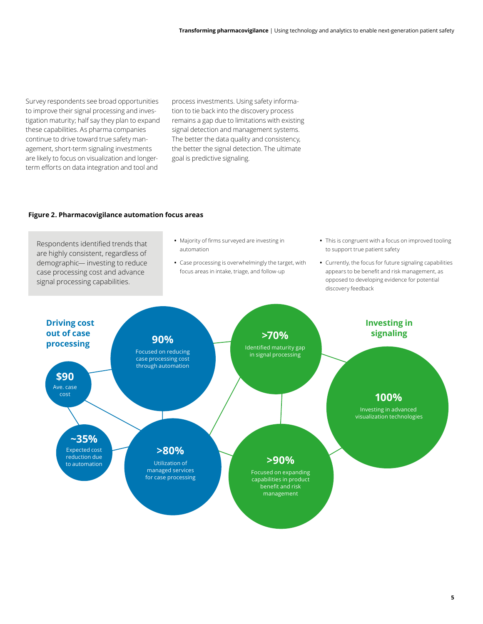Survey respondents see broad opportunities to improve their signal processing and investigation maturity; half say they plan to expand these capabilities. As pharma companies continue to drive toward true safety management, short-term signaling investments are likely to focus on visualization and longerterm efforts on data integration and tool and

process investments. Using safety information to tie back into the discovery process remains a gap due to limitations with existing signal detection and management systems. The better the data quality and consistency, the better the signal detection. The ultimate goal is predictive signaling.

### **Figure 2. Pharmacovigilance automation focus areas**

Respondents identified trends that are highly consistent, regardless of demographic— investing to reduce case processing cost and advance signal processing capabilities.

- **•** Majority of firms surveyed are investing in automation
- **•** Case processing is overwhelmingly the target, with focus areas in intake, triage, and follow-up
- **•** This is congruent with a focus on improved tooling to support true patient safety
- **•** Currently, the focus for future signaling capabilities appears to be benefit and risk management, as opposed to developing evidence for potential discovery feedback

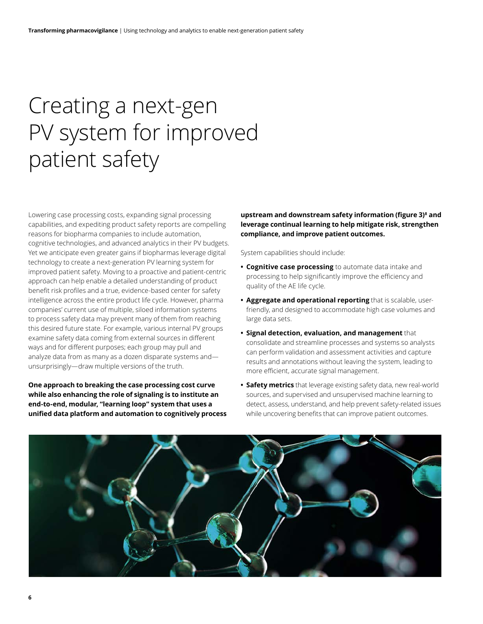### Creating a next-gen PV system for improved patient safety

Lowering case processing costs, expanding signal processing capabilities, and expediting product safety reports are compelling reasons for biopharma companies to include automation, cognitive technologies, and advanced analytics in their PV budgets. Yet we anticipate even greater gains if biopharmas leverage digital technology to create a next-generation PV learning system for improved patient safety. Moving to a proactive and patient-centric approach can help enable a detailed understanding of product benefit risk profiles and a true, evidence-based center for safety intelligence across the entire product life cycle. However, pharma companies' current use of multiple, siloed information systems to process safety data may prevent many of them from reaching this desired future state. For example, various internal PV groups examine safety data coming from external sources in different ways and for different purposes; each group may pull and analyze data from as many as a dozen disparate systems and unsurprisingly—draw multiple versions of the truth.

**One approach to breaking the case processing cost curve while also enhancing the role of signaling is to institute an end-to-end, modular, "learning loop" system that uses a unified data platform and automation to cognitively process**  **upstream and downstream safety information (figure 3)8 and leverage continual learning to help mitigate risk, strengthen compliance, and improve patient outcomes.** 

System capabilities should include:

- **• Cognitive case processing** to automate data intake and processing to help significantly improve the efficiency and quality of the AE life cycle.
- **• Aggregate and operational reporting** that is scalable, userfriendly, and designed to accommodate high case volumes and large data sets.
- **• Signal detection, evaluation, and management** that consolidate and streamline processes and systems so analysts can perform validation and assessment activities and capture results and annotations without leaving the system, leading to more efficient, accurate signal management.
- **• Safety metrics** that leverage existing safety data, new real-world sources, and supervised and unsupervised machine learning to detect, assess, understand, and help prevent safety-related issues while uncovering benefits that can improve patient outcomes.

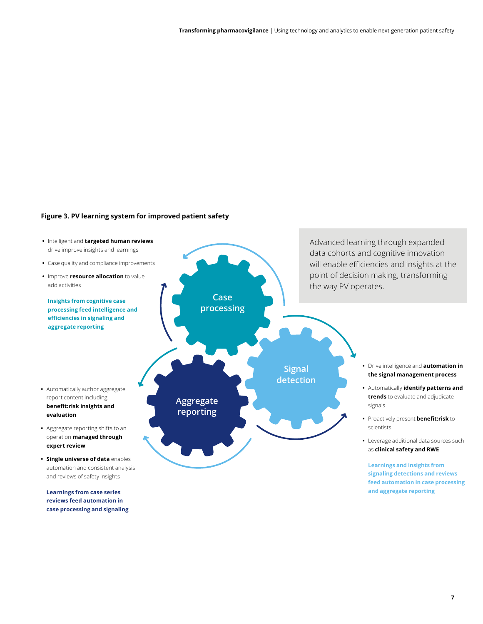### **Figure 3. PV learning system for improved patient safety**



**Learnings from case series reviews feed automation in case processing and signaling**

**7**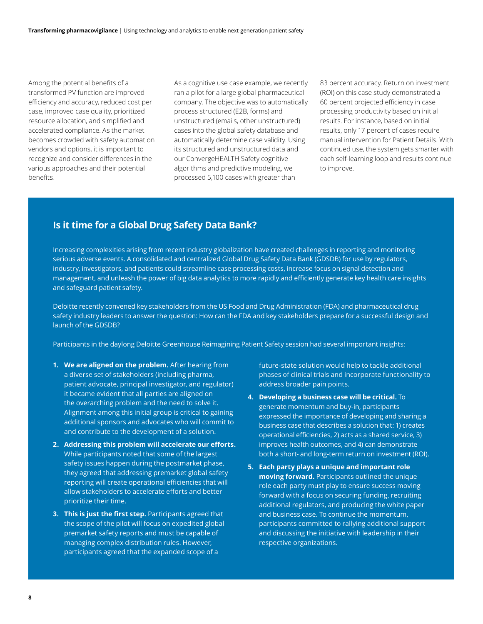Among the potential benefits of a transformed PV function are improved efficiency and accuracy, reduced cost per case, improved case quality, prioritized resource allocation, and simplified and accelerated compliance. As the market becomes crowded with safety automation vendors and options, it is important to recognize and consider differences in the various approaches and their potential benefits.

As a cognitive use case example, we recently ran a pilot for a large global pharmaceutical company. The objective was to automatically process structured (E2B, forms) and unstructured (emails, other unstructured) cases into the global safety database and automatically determine case validity. Using its structured and unstructured data and our ConvergeHEALTH Safety cognitive algorithms and predictive modeling, we processed 5,100 cases with greater than

83 percent accuracy. Return on investment (ROI) on this case study demonstrated a 60 percent projected efficiency in case processing productivity based on initial results. For instance, based on initial results, only 17 percent of cases require manual intervention for Patient Details. With continued use, the system gets smarter with each self-learning loop and results continue to improve.

### **Is it time for a Global Drug Safety Data Bank?**

Increasing complexities arising from recent industry globalization have created challenges in reporting and monitoring serious adverse events. A consolidated and centralized Global Drug Safety Data Bank (GDSDB) for use by regulators, industry, investigators, and patients could streamline case processing costs, increase focus on signal detection and management, and unleash the power of big data analytics to more rapidly and efficiently generate key health care insights and safeguard patient safety.

Deloitte recently convened key stakeholders from the US Food and Drug Administration (FDA) and pharmaceutical drug safety industry leaders to answer the question: How can the FDA and key stakeholders prepare for a successful design and launch of the GDSDB?

Participants in the daylong Deloitte Greenhouse Reimagining Patient Safety session had several important insights:

- **1. We are aligned on the problem.** After hearing from a diverse set of stakeholders (including pharma, patient advocate, principal investigator, and regulator) it became evident that all parties are aligned on the overarching problem and the need to solve it. Alignment among this initial group is critical to gaining additional sponsors and advocates who will commit to and contribute to the development of a solution.
- **2. Addressing this problem will accelerate our efforts.** While participants noted that some of the largest safety issues happen during the postmarket phase, they agreed that addressing premarket global safety reporting will create operational efficiencies that will allow stakeholders to accelerate efforts and better prioritize their time.
- **3. This is just the first step.** Participants agreed that the scope of the pilot will focus on expedited global premarket safety reports and must be capable of managing complex distribution rules. However, participants agreed that the expanded scope of a

future-state solution would help to tackle additional phases of clinical trials and incorporate functionality to address broader pain points.

- **4. Developing a business case will be critical.** To generate momentum and buy-in, participants expressed the importance of developing and sharing a business case that describes a solution that: 1) creates operational efficiencies, 2) acts as a shared service, 3) improves health outcomes, and 4) can demonstrate both a short- and long-term return on investment (ROI).
- **5. Each party plays a unique and important role moving forward.** Participants outlined the unique role each party must play to ensure success moving forward with a focus on securing funding, recruiting additional regulators, and producing the white paper and business case. To continue the momentum, participants committed to rallying additional support and discussing the initiative with leadership in their respective organizations.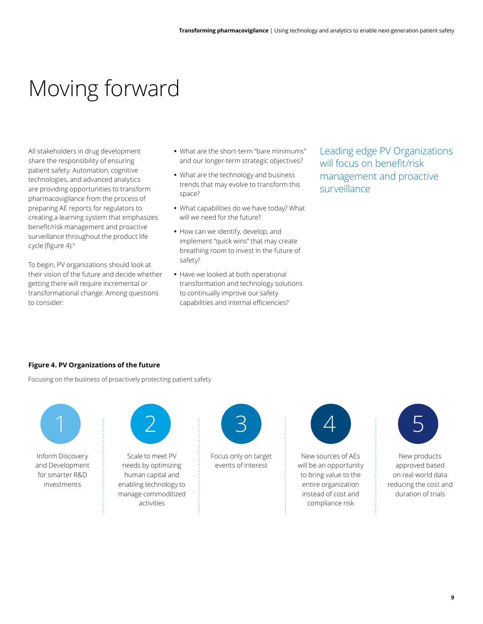### Moving forward

All stakeholders in drug development share the responsibility of ensuring patient safety. Automation, cognitive technologies, and advanced analytics are providing opportunities to transform pharmacovigilance from the process of preparing AE reports for regulators to creating a learning system that emphasizes benefit/risk management and proactive surveillance throughout the product life cycle (figure 4).<sup>9</sup>

To begin, PV organizations should look at their vision of the future and decide whether getting there will require incremental or transformational change. Among questions to consider:

- **•** What are the short-term "bare minimums" and our longer-term strategic objectives?
- **•** What are the technology and business trends that may evolve to transform this space?
- **•** What capabilities do we have today? What will we need for the future?
- **•** How can we identify, develop, and implement "quick wins" that may create breathing room to invest in the future of safety?
- **•** Have we looked at both operational transformation and technology solutions to continually improve our safety capabilities and internal efficiencies?

Leading edge PV Organizations will focus on benefit/risk management and proactive surveillance

### **Figure 4. PV Organizations of the future**

Focusing on the business of proactively protecting patient safety



Inform Discovery and Development for smarter R&D investments



Scale to meet PV needs by optimizing human capital and enabling technology to manage commoditized activities



Focus only on target events of interest



New sources of AEs will be an opportunity to bring value to the entire organization instead of cost and compliance risk



New products approved based on real world data reducing the cost and duration of trials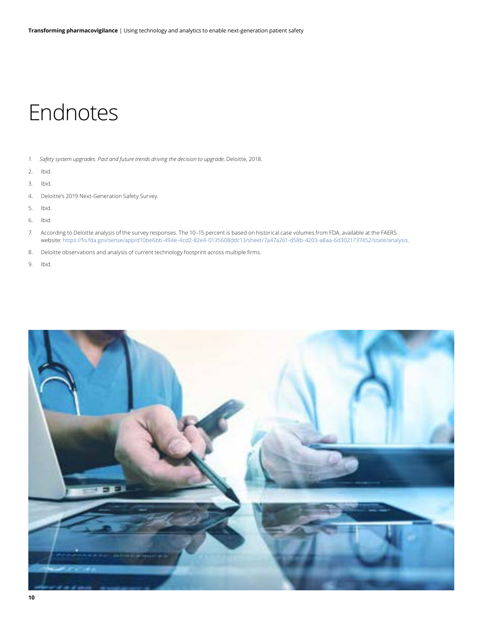### Endnotes

- *1. Safety system upgrades: Past and future trends driving the decision to upgrade*, Deloitte, 2018.
- 2. Ibid.
- 3. Ibid.
- 4. Deloitte's 2019 Next-Generation Safety Survey.
- 5. Ibid.
- 6. Ibid.
- 7. According to Deloitte analysis of the survey responses. The 10–15 percent is based on historical case volumes from FDA, available at the FAERS website: <https://fis.fda.gov/sense/app/d10be6bb-494e-4cd2-82e4-0135608ddc13/sheet/7a47a261-d58b-4203-a8aa-6d3021737452/state/analysis>.
- 8. Deloitte observations and analysis of current technology footprint across multiple firms.
- 9. Ibid.

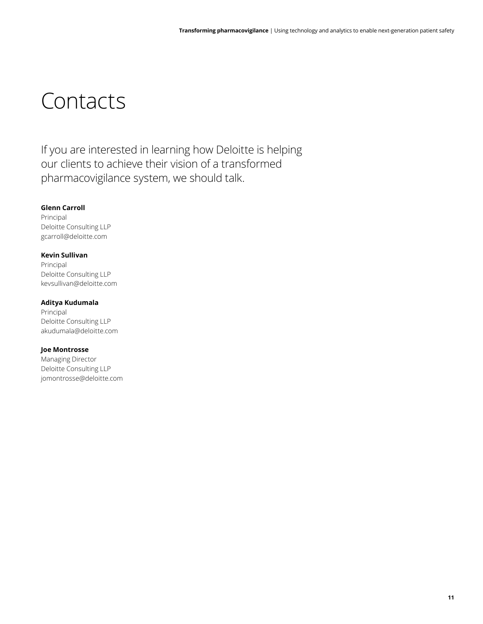### Contacts

If you are interested in learning how Deloitte is helping our clients to achieve their vision of a transformed pharmacovigilance system, we should talk.

### **Glenn Carroll**

Principal Deloitte Consulting LLP gcarroll@deloitte.com

### **Kevin Sullivan**

Principal Deloitte Consulting LLP kevsullivan@deloitte.com

### **Aditya Kudumala**

Principal Deloitte Consulting LLP akudumala@deloitte.com

### **Joe Montrosse**

Managing Director Deloitte Consulting LLP jomontrosse@deloitte.com